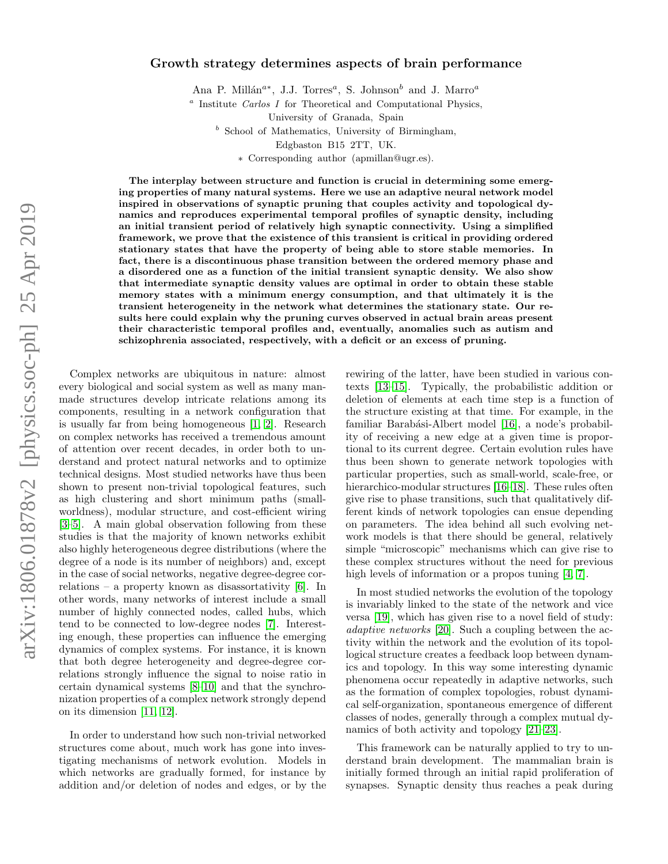# Growth strategy determines aspects of brain performance

Ana P. Millán<sup>a\*</sup>, J.J. Torres<sup>a</sup>, S. Johnson<sup>b</sup> and J. Marro<sup>a</sup>

<sup>a</sup> Institute Carlos I for Theoretical and Computational Physics,

University of Granada, Spain

 $<sup>b</sup>$  School of Mathematics, University of Birmingham,</sup>

Edgbaston B15 2TT, UK.

∗ Corresponding author (apmillan@ugr.es).

The interplay between structure and function is crucial in determining some emerging properties of many natural systems. Here we use an adaptive neural network model inspired in observations of synaptic pruning that couples activity and topological dynamics and reproduces experimental temporal profiles of synaptic density, including an initial transient period of relatively high synaptic connectivity. Using a simplified framework, we prove that the existence of this transient is critical in providing ordered stationary states that have the property of being able to store stable memories. In fact, there is a discontinuous phase transition between the ordered memory phase and a disordered one as a function of the initial transient synaptic density. We also show that intermediate synaptic density values are optimal in order to obtain these stable memory states with a minimum energy consumption, and that ultimately it is the transient heterogeneity in the network what determines the stationary state. Our results here could explain why the pruning curves observed in actual brain areas present their characteristic temporal profiles and, eventually, anomalies such as autism and schizophrenia associated, respectively, with a deficit or an excess of pruning.

Complex networks are ubiquitous in nature: almost every biological and social system as well as many manmade structures develop intricate relations among its components, resulting in a network configuration that is usually far from being homogeneous [\[1,](#page-6-0) [2\]](#page-6-1). Research on complex networks has received a tremendous amount of attention over recent decades, in order both to understand and protect natural networks and to optimize technical designs. Most studied networks have thus been shown to present non-trivial topological features, such as high clustering and short minimum paths (smallworldness), modular structure, and cost-efficient wiring [\[3–](#page-6-2)[5\]](#page-6-3). A main global observation following from these studies is that the majority of known networks exhibit also highly heterogeneous degree distributions (where the degree of a node is its number of neighbors) and, except in the case of social networks, negative degree-degree correlations – a property known as disassortativity [\[6\]](#page-6-4). In other words, many networks of interest include a small number of highly connected nodes, called hubs, which tend to be connected to low-degree nodes [\[7\]](#page-6-5). Interesting enough, these properties can influence the emerging dynamics of complex systems. For instance, it is known that both degree heterogeneity and degree-degree correlations strongly influence the signal to noise ratio in certain dynamical systems [\[8](#page-6-6)[–10\]](#page-6-7) and that the synchronization properties of a complex network strongly depend on its dimension [\[11,](#page-6-8) [12\]](#page-6-9).

In order to understand how such non-trivial networked structures come about, much work has gone into investigating mechanisms of network evolution. Models in which networks are gradually formed, for instance by addition and/or deletion of nodes and edges, or by the rewiring of the latter, have been studied in various contexts [\[13](#page-6-10)[–15\]](#page-6-11). Typically, the probabilistic addition or deletion of elements at each time step is a function of the structure existing at that time. For example, in the familiar Barabási-Albert model [\[16\]](#page-6-12), a node's probability of receiving a new edge at a given time is proportional to its current degree. Certain evolution rules have thus been shown to generate network topologies with particular properties, such as small-world, scale-free, or hierarchico-modular structures [\[16–](#page-6-12)[18\]](#page-6-13). These rules often give rise to phase transitions, such that qualitatively different kinds of network topologies can ensue depending on parameters. The idea behind all such evolving network models is that there should be general, relatively simple "microscopic" mechanisms which can give rise to these complex structures without the need for previous high levels of information or a propos tuning [\[4,](#page-6-14) [7\]](#page-6-5).

In most studied networks the evolution of the topology is invariably linked to the state of the network and vice versa [\[19\]](#page-6-15), which has given rise to a novel field of study: adaptive networks [\[20\]](#page-6-16). Such a coupling between the activity within the network and the evolution of its topollogical structure creates a feedback loop between dynamics and topology. In this way some interesting dynamic phenomena occur repeatedly in adaptive networks, such as the formation of complex topologies, robust dynamical self-organization, spontaneous emergence of different classes of nodes, generally through a complex mutual dynamics of both activity and topology [\[21](#page-6-17)[–23\]](#page-6-18).

This framework can be naturally applied to try to understand brain development. The mammalian brain is initially formed through an initial rapid proliferation of synapses. Synaptic density thus reaches a peak during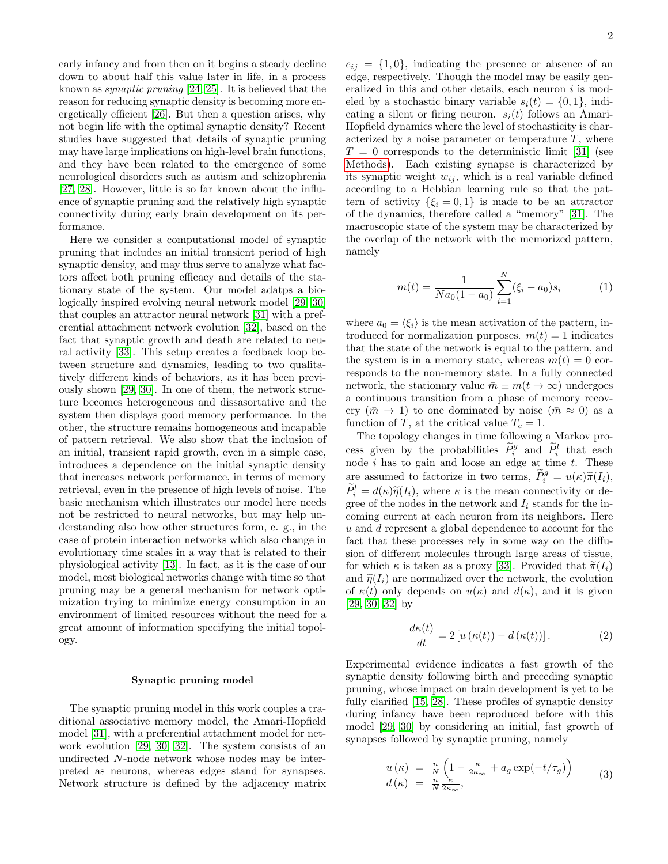early infancy and from then on it begins a steady decline down to about half this value later in life, in a process known as synaptic pruning [\[24,](#page-7-0) [25\]](#page-7-1). It is believed that the reason for reducing synaptic density is becoming more energetically efficient [\[26\]](#page-7-2). But then a question arises, why not begin life with the optimal synaptic density? Recent studies have suggested that details of synaptic pruning may have large implications on high-level brain functions, and they have been related to the emergence of some neurological disorders such as autism and schizophrenia [\[27,](#page-7-3) [28\]](#page-7-4). However, little is so far known about the influence of synaptic pruning and the relatively high synaptic connectivity during early brain development on its performance.

Here we consider a computational model of synaptic pruning that includes an initial transient period of high synaptic density, and may thus serve to analyze what factors affect both pruning efficacy and details of the stationary state of the system. Our model adatps a biologically inspired evolving neural network model [\[29,](#page-7-5) [30\]](#page-7-6) that couples an attractor neural network [\[31\]](#page-7-7) with a preferential attachment network evolution [\[32\]](#page-7-8), based on the fact that synaptic growth and death are related to neural activity [\[33\]](#page-7-9). This setup creates a feedback loop between structure and dynamics, leading to two qualitatively different kinds of behaviors, as it has been previously shown [\[29,](#page-7-5) [30\]](#page-7-6). In one of them, the network structure becomes heterogeneous and dissasortative and the system then displays good memory performance. In the other, the structure remains homogeneous and incapable of pattern retrieval. We also show that the inclusion of an initial, transient rapid growth, even in a simple case, introduces a dependence on the initial synaptic density that increases network performance, in terms of memory retrieval, even in the presence of high levels of noise. The basic mechanism which illustrates our model here needs not be restricted to neural networks, but may help understanding also how other structures form, e. g., in the case of protein interaction networks which also change in evolutionary time scales in a way that is related to their physiological activity [\[13\]](#page-6-10). In fact, as it is the case of our model, most biological networks change with time so that pruning may be a general mechanism for network optimization trying to minimize energy consumption in an environment of limited resources without the need for a great amount of information specifying the initial topology.

#### Synaptic pruning model

The synaptic pruning model in this work couples a traditional associative memory model, the Amari-Hopfield model [\[31\]](#page-7-7), with a preferential attachment model for network evolution [\[29,](#page-7-5) [30,](#page-7-6) [32\]](#page-7-8). The system consists of an undirected N-node network whose nodes may be interpreted as neurons, whereas edges stand for synapses. Network structure is defined by the adjacency matrix

 $e_{ij} = \{1, 0\}$ , indicating the presence or absence of an edge, respectively. Though the model may be easily generalized in this and other details, each neuron  $i$  is modeled by a stochastic binary variable  $s_i(t) = \{0, 1\}$ , indicating a silent or firing neuron.  $s_i(t)$  follows an Amari-Hopfield dynamics where the level of stochasticity is characterized by a noise parameter or temperature  $T$ , where  $T = 0$  corresponds to the deterministic limit [\[31\]](#page-7-7) (see [Methods\)](#page-7-10). Each existing synapse is characterized by its synaptic weight  $w_{ij}$ , which is a real variable defined according to a Hebbian learning rule so that the pattern of activity  $\{\xi_i = 0, 1\}$  is made to be an attractor of the dynamics, therefore called a "memory" [\[31\]](#page-7-7). The macroscopic state of the system may be characterized by the overlap of the network with the memorized pattern, namely

<span id="page-1-1"></span>
$$
m(t) = \frac{1}{Na_0(1 - a_0)} \sum_{i=1}^{N} (\xi_i - a_0)s_i
$$
 (1)

where  $a_0 = \langle \xi_i \rangle$  is the mean activation of the pattern, introduced for normalization purposes.  $m(t) = 1$  indicates that the state of the network is equal to the pattern, and the system is in a memory state, whereas  $m(t) = 0$  corresponds to the non-memory state. In a fully connected network, the stationary value  $\bar{m} \equiv m(t \to \infty)$  undergoes a continuous transition from a phase of memory recovery  $(\bar{m} \to 1)$  to one dominated by noise  $(\bar{m} \approx 0)$  as a function of T, at the critical value  $T_c = 1$ .

The topology changes in time following a Markov process given by the probabilities  $\widetilde{P}_i^g$  and  $\widetilde{P}_i^l$  that each node  $i$  has to gain and loose an edge at time  $t$ . These are assumed to factorize in two terms,  $\widetilde{P}_{i}^{g} = u(\kappa)\widetilde{\pi}(I_{i}),$ <br> $\widetilde{P}_{i}^{l} = d(\kappa)\widetilde{\pi}(I_{i})$ , where  $u$  is the mass conventisity on dependent  $\widetilde{P}_i^l = d(\kappa)\widetilde{\eta}(I_i)$ , where  $\kappa$  is the mean connectivity or degree of the nodes in the network and  $I_i$  stands for the incoming current at each neuron from its neighbors. Here u and d represent a global dependence to account for the fact that these processes rely in some way on the diffusion of different molecules through large areas of tissue, for which  $\kappa$  is taken as a proxy [\[33\]](#page-7-9). Provided that  $\tilde{\pi}(I_i)$ and  $\tilde{\eta}(I_i)$  are normalized over the network, the evolution of  $\kappa(t)$  only depends on  $u(\kappa)$  and  $d(\kappa)$ , and it is given [\[29,](#page-7-5) [30,](#page-7-6) [32\]](#page-7-8) by

$$
\frac{d\kappa(t)}{dt} = 2\left[u\left(\kappa(t)\right) - d\left(\kappa(t)\right)\right].\tag{2}
$$

Experimental evidence indicates a fast growth of the synaptic density following birth and preceding synaptic pruning, whose impact on brain development is yet to be fully clarified [\[15,](#page-6-11) [28\]](#page-7-4). These profiles of synaptic density during infancy have been reproduced before with this model [\[29,](#page-7-5) [30\]](#page-7-6) by considering an initial, fast growth of synapses followed by synaptic pruning, namely

<span id="page-1-0"></span>
$$
u(\kappa) = \frac{n}{N} \left( 1 - \frac{\kappa}{2\kappa_{\infty}} + a_g \exp(-t/\tau_g) \right)
$$
  
\n
$$
d(\kappa) = \frac{n}{N} \frac{\kappa}{2\kappa_{\infty}},
$$
\n(3)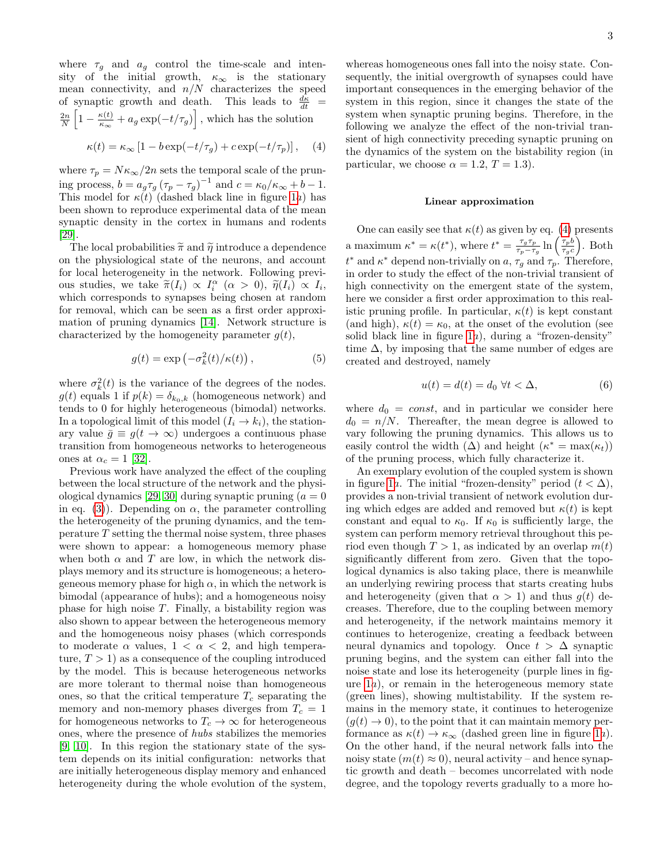where  $\tau_g$  and  $a_g$  control the time-scale and intensity of the initial growth,  $\kappa_{\infty}$  is the stationary mean connectivity, and  $n/N$  characterizes the speed of synaptic growth and death. This leads to  $\frac{d\kappa}{dt}$  =  $\frac{2n}{N}\left[1-\frac{\kappa(t)}{\kappa_{\infty}}\right]$  $\frac{\kappa(t)}{\kappa_{\infty}} + a_g \exp(-t/\tau_g)$ , which has the solution

<span id="page-2-0"></span>
$$
\kappa(t) = \kappa_{\infty} \left[ 1 - b \exp(-t/\tau_g) + c \exp(-t/\tau_p) \right], \quad (4)
$$

where  $\tau_p=N\kappa_\infty/2n$  sets the temporal scale of the pruning process,  $b = a_g \tau_g (\tau_p - \tau_g)^{-1}$  and  $c = \kappa_0/\kappa_\infty + b - 1$ . This model for  $\kappa(t)$  (dashed black line in figure [1](#page-3-0)a) has been shown to reproduce experimental data of the mean synaptic density in the cortex in humans and rodents [\[29\]](#page-7-5).

The local probabilities  $\tilde{\pi}$  and  $\tilde{\eta}$  introduce a dependence on the physiological state of the neurons, and account for local heterogeneity in the network. Following previous studies, we take  $\tilde{\pi}(I_i) \propto I_i^{\alpha}$   $(\alpha > 0)$ ,  $\tilde{\eta}(I_i) \propto I_i$ , which corresponds to synapses being chosen at random for removal, which can be seen as a first order approximation of pruning dynamics [\[14\]](#page-6-19). Network structure is characterized by the homogeneity parameter  $g(t)$ ,

$$
g(t) = \exp(-\sigma_k^2(t)/\kappa(t)),
$$
\n(5)

where  $\sigma_k^2(t)$  is the variance of the degrees of the nodes.  $g(t)$  equals 1 if  $p(k) = \delta_{k_0,k}$  (homogeneous network) and tends to 0 for highly heterogeneous (bimodal) networks. In a topological limit of this model  $(I_i \rightarrow k_i)$ , the stationary value  $\bar{q} \equiv q(t \to \infty)$  undergoes a continuous phase transition from homogeneous networks to heterogeneous ones at  $\alpha_c = 1$  [\[32\]](#page-7-8).

Previous work have analyzed the effect of the coupling between the local structure of the network and the physi-ological dynamics [\[29,](#page-7-5) [30\]](#page-7-6) during synaptic pruning  $(a = 0)$ in eq. [\(3\)](#page-1-0)). Depending on  $\alpha$ , the parameter controlling the heterogeneity of the pruning dynamics, and the temperature  $T$  setting the thermal noise system, three phases were shown to appear: a homogeneous memory phase when both  $\alpha$  and  $T$  are low, in which the network displays memory and its structure is homogeneous; a heterogeneous memory phase for high  $\alpha$ , in which the network is bimodal (appearance of hubs); and a homogeneous noisy phase for high noise  $T$ . Finally, a bistability region was also shown to appear between the heterogeneous memory and the homogeneous noisy phases (which corresponds to moderate  $\alpha$  values,  $1 < \alpha < 2$ , and high temperature,  $T > 1$  as a consequence of the coupling introduced by the model. This is because heterogeneous networks are more tolerant to thermal noise than homogeneous ones, so that the critical temperature  $T_c$  separating the memory and non-memory phases diverges from  $T_c = 1$ for homogeneous networks to  $T_c \to \infty$  for heterogeneous ones, where the presence of hubs stabilizes the memories [\[9,](#page-6-20) [10\]](#page-6-7). In this region the stationary state of the system depends on its initial configuration: networks that are initially heterogeneous display memory and enhanced heterogeneity during the whole evolution of the system,

whereas homogeneous ones fall into the noisy state. Consequently, the initial overgrowth of synapses could have important consequences in the emerging behavior of the system in this region, since it changes the state of the system when synaptic pruning begins. Therefore, in the following we analyze the effect of the non-trivial transient of high connectivity preceding synaptic pruning on the dynamics of the system on the bistability region (in particular, we choose  $\alpha = 1.2, T = 1.3$ .

### Linear approximation

One can easily see that  $\kappa(t)$  as given by eq. [\(4\)](#page-2-0) presents a maximum  $\kappa^* = \kappa(t^*)$ , where  $t^* = \frac{\tau_g \tau_p}{\tau_g - \tau_g}$  $\frac{\tau_g \tau_p}{\tau_p - \tau_g} \ln \left( \frac{\tau_p b}{\tau_g c} \right)$  $\left(\frac{\tau_p b}{\tau_g c}\right)$ . Both  $t^*$  and  $\kappa^*$  depend non-trivially on a,  $\tau_g$  and  $\tau_p$ . Therefore, in order to study the effect of the non-trivial transient of high connectivity on the emergent state of the system, here we consider a first order approximation to this realistic pruning profile. In particular,  $\kappa(t)$  is kept constant (and high),  $\kappa(t) = \kappa_0$ , at the onset of the evolution (see solid black line in figure  $1a$ ), during a "frozen-density" time  $\Delta$ , by imposing that the same number of edges are created and destroyed, namely

$$
u(t) = d(t) = d_0 \,\,\forall t < \Delta,\tag{6}
$$

where  $d_0 = const$ , and in particular we consider here  $d_0 = n/N$ . Thereafter, the mean degree is allowed to vary following the pruning dynamics. This allows us to easily control the width  $(\Delta)$  and height  $(\kappa^* = \max(\kappa_t))$ of the pruning process, which fully characterize it.

An exemplary evolution of the coupled system is shown in figure [1](#page-3-0)a. The initial "frozen-density" period  $(t < \Delta)$ , provides a non-trivial transient of network evolution during which edges are added and removed but  $\kappa(t)$  is kept constant and equal to  $\kappa_0$ . If  $\kappa_0$  is sufficiently large, the system can perform memory retrieval throughout this period even though  $T > 1$ , as indicated by an overlap  $m(t)$ significantly different from zero. Given that the topological dynamics is also taking place, there is meanwhile an underlying rewiring process that starts creating hubs and heterogeneity (given that  $\alpha > 1$ ) and thus  $q(t)$  decreases. Therefore, due to the coupling between memory and heterogeneity, if the network maintains memory it continues to heterogenize, creating a feedback between neural dynamics and topology. Once  $t > \Delta$  synaptic pruning begins, and the system can either fall into the noise state and lose its heterogeneity (purple lines in figure [1](#page-3-0)a), or remain in the heterogeneous memory state (green lines), showing multistability. If the system remains in the memory state, it continues to heterogenize  $(q(t) \rightarrow 0)$ , to the point that it can maintain memory performance as  $\kappa(t) \to \kappa_{\infty}$  (dashed green line in figure [1](#page-3-0)a). On the other hand, if the neural network falls into the noisy state  $(m(t) \approx 0)$ , neural activity – and hence synaptic growth and death – becomes uncorrelated with node degree, and the topology reverts gradually to a more ho-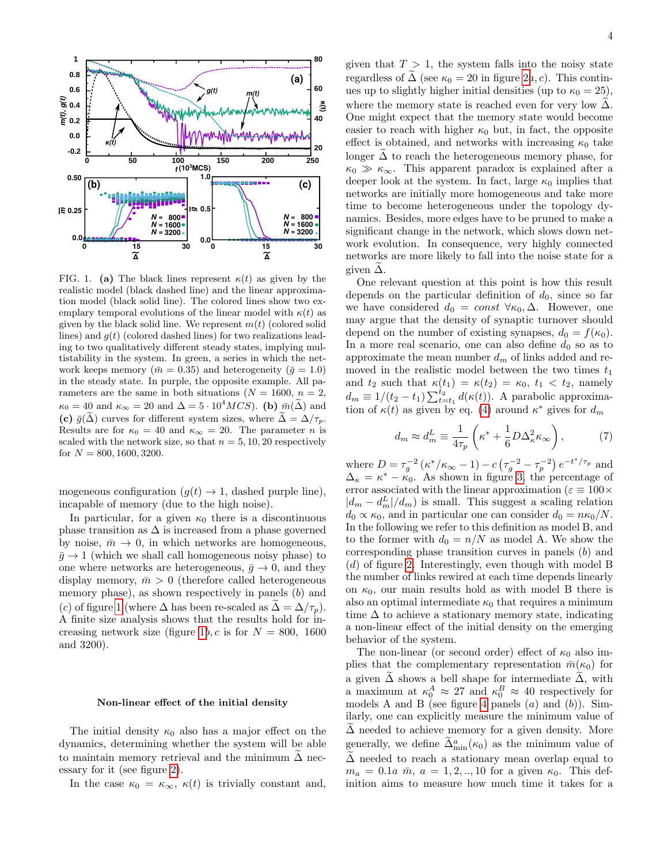

<span id="page-3-0"></span>FIG. 1. (a) The black lines represent  $\kappa(t)$  as given by the realistic model (black dashed line) and the linear approximation model (black solid line). The colored lines show two exemplary temporal evolutions of the linear model with  $\kappa(t)$  as given by the black solid line. We represent  $m(t)$  (colored solid lines) and  $g(t)$  (colored dashed lines) for two realizations leading to two qualitatively different steady states, implying multistability in the system. In green, a series in which the network keeps memory ( $\bar{m} = 0.35$ ) and heterogeneity ( $\bar{g} = 1.0$ ) in the steady state. In purple, the opposite example. All parameters are the same in both situations ( $N = 1600, n = 2$ ,  $\kappa_0 = 40$  and  $\kappa_\infty = 20$  and  $\Delta = 5 \cdot 10^4 MCS$ . (b)  $\bar{m}(\Delta)$  and (c)  $\bar{g}(\tilde{\Delta})$  curves for different system sizes, where  $\tilde{\Delta} = \Delta / \tau_p$ . Results are for  $\kappa_0 = 40$  and  $\kappa_\infty = 20$ . The parameter *n* is scaled with the network size, so that  $n = 5, 10, 20$  respectively for  $N = 800, 1600, 3200$ .

mogeneous configuration  $(g(t) \rightarrow 1$ , dashed purple line), incapable of memory (due to the high noise).

In particular, for a given  $\kappa_0$  there is a discontinuous phase transition as  $\Delta$  is increased from a phase governed by noise,  $\bar{m} \to 0$ , in which networks are homogeneous,  $\bar{q} \rightarrow 1$  (which we shall call homogeneous noisy phase) to one where networks are heterogeneous,  $\bar{g} \to 0$ , and they display memory,  $\bar{m} > 0$  (therefore called heterogeneous memory phase), as shown respectively in panels (b) and (c) of figure [1](#page-3-0) (where  $\Delta$  has been re-scaled as  $\tilde{\Delta} = \Delta/\tau_n$ ). A finite size analysis shows that the results hold for in-creasing network size (figure [1](#page-3-0)b, c is for  $N = 800, 1600$ ) and 3200).

# Non-linear effect of the initial density

The initial density  $\kappa_0$  also has a major effect on the dynamics, determining whether the system will be able to maintain memory retrieval and the minimum  $\Delta$  necessary for it (see figure [2\)](#page-4-0).

In the case  $\kappa_0 = \kappa_\infty$ ,  $\kappa(t)$  is trivially constant and,

given that  $T > 1$ , the system falls into the noisy state regardless of  $\Delta$  (see  $\kappa_0 = 20$  $\kappa_0 = 20$  $\kappa_0 = 20$  in figure  $2a, c$ ). This continues up to slightly higher initial densities (up to  $\kappa_0 = 25$ ), where the memory state is reached even for very low  $\Delta$ . One might expect that the memory state would become easier to reach with higher  $\kappa_0$  but, in fact, the opposite effect is obtained, and networks with increasing  $\kappa_0$  take longer  $\Delta$  to reach the heterogeneous memory phase, for  $\kappa_0 \gg \kappa_\infty$ . This apparent paradox is explained after a deeper look at the system. In fact, large  $\kappa_0$  implies that networks are initially more homogeneous and take more time to become heterogeneous under the topology dynamics. Besides, more edges have to be pruned to make a significant change in the network, which slows down network evolution. In consequence, very highly connected networks are more likely to fall into the noise state for a given  $\overline{\Delta}$ .

One relevant question at this point is how this result depends on the particular definition of  $d_0$ , since so far we have considered  $d_0 = const \,\forall \kappa_0, \Delta$ . However, one may argue that the density of synaptic turnover should depend on the number of existing synapses,  $d_0 = f(\kappa_0)$ . In a more real scenario, one can also define  $d_0$  so as to approximate the mean number  $d_m$  of links added and removed in the realistic model between the two times  $t_1$ and  $t_2$  such that  $\kappa(t_1) = \kappa(t_2) = \kappa_0, t_1 < t_2$ , namely  $d_m \equiv 1/(t_2 - t_1) \sum_{t=t_1}^{t_2} d(\kappa(t))$ . A parabolic approximation of  $\kappa(t)$  as given by eq. [\(4\)](#page-2-0) around  $\kappa^*$  gives for  $d_m$ 

$$
d_m \approx d_m^L \equiv \frac{1}{4\tau_p} \left( \kappa^* + \frac{1}{6} D \Delta_\kappa^2 \kappa_\infty \right),\tag{7}
$$

where  $D = \tau_g^{-2} (\kappa^* / \kappa_\infty - 1) - c (\tau_g^{-2} - \tau_p^{-2}) e^{-t^* / \tau_p}$  and  $\Delta_{\kappa} = \kappa^* - \kappa_0$ . As shown in figure [3,](#page-4-1) the percentage of error associated with the linear approximation ( $\varepsilon \equiv 100 \times$  $|d_m - d_m^L|/d_m$ ) is small. This suggest a scaling relation  $d_0 \propto \kappa_0$ , and in particular one can consider  $d_0 = n\kappa_0/N$ . In the following we refer to this definition as model B, and to the former with  $d_0 = n/N$  as model A. We show the corresponding phase transition curves in panels (b) and  $(d)$  of figure [2.](#page-4-0) Interestingly, even though with model B the number of links rewired at each time depends linearly on  $\kappa_0$ , our main results hold as with model B there is also an optimal intermediate  $\kappa_0$  that requires a minimum time  $\Delta$  to achieve a stationary memory state, indicating a non-linear effect of the initial density on the emerging behavior of the system.

The non-linear (or second order) effect of  $\kappa_0$  also implies that the complementary representation  $\bar{m}(\kappa_0)$  for a given  $\tilde{\Delta}$  shows a bell shape for intermediate  $\tilde{\Delta}$ , with a maximum at  $\kappa_0^A \approx 27$  and  $\kappa_0^B \approx 40$  respectively for models A and B (see figure [4](#page-4-2) panels  $(a)$  and  $(b)$ ). Similarly, one can explicitly measure the minimum value of  $\Delta$  needed to achieve memory for a given density. More generally, we define  $\tilde{\Delta}_{\min}^a(\kappa_0)$  as the minimum value of  $\Delta$  needed to reach a stationary mean overlap equal to  $m_a = 0.1a \bar{m}, a = 1, 2, ..., 10$  for a given  $\kappa_0$ . This definition aims to measure how much time it takes for a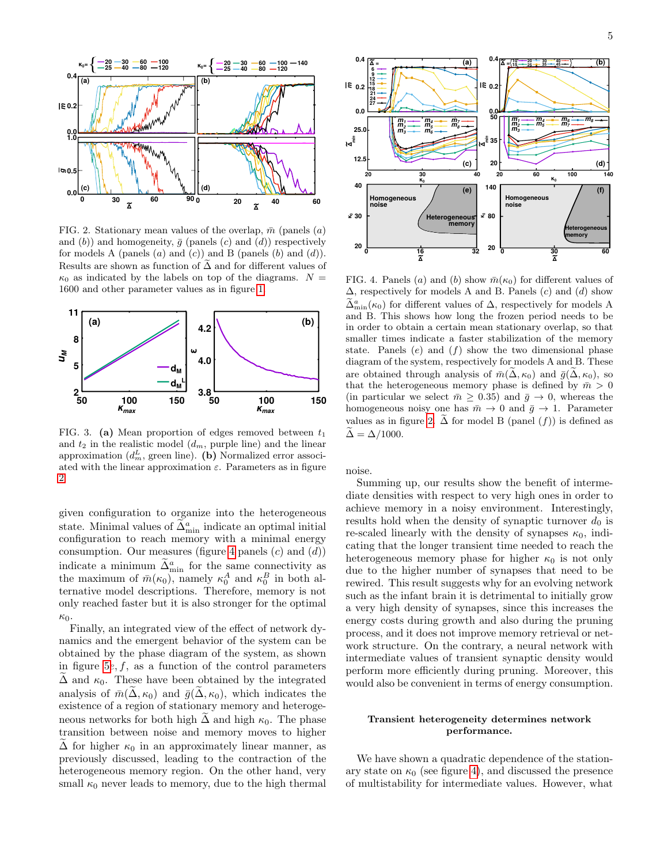

<span id="page-4-0"></span>FIG. 2. Stationary mean values of the overlap,  $\bar{m}$  (panels (a) and (b)) and homogeneity,  $\bar{q}$  (panels (c) and (d)) respectively for models A (panels  $(a)$  and  $(c)$ ) and B (panels  $(b)$  and  $(d)$ ). Results are shown as function of  $\widetilde{\Delta}$  and for different values of  $\kappa_0$  as indicated by the labels on top of the diagrams.  $N =$ 1600 and other parameter values as in figure [1.](#page-3-0)



<span id="page-4-1"></span>FIG. 3. (a) Mean proportion of edges removed between  $t_1$ and  $t_2$  in the realistic model  $(d_m,$  purple line) and the linear approximation  $(d_m^L, \text{green line})$ . (b) Normalized error associated with the linear approximation  $\varepsilon$ . Parameters as in figure [2.](#page-4-0)

given configuration to organize into the heterogeneous state. Minimal values of  $\tilde{\Delta}_{\min}^a$  indicate an optimal initial configuration to reach memory with a minimal energy consumption. Our measures (figure [4](#page-4-2) panels  $(c)$  and  $(d)$ ) indicate a minimum  $\tilde{\Delta}_{\text{min}}^a$  for the same connectivity as the maximum of  $\bar{m}(\kappa_0)$ , namely  $\kappa_0^A$  and  $\kappa_0^B$  in both alternative model descriptions. Therefore, memory is not only reached faster but it is also stronger for the optimal  $\kappa_0$ .

Finally, an integrated view of the effect of network dynamics and the emergent behavior of the system can be obtained by the phase diagram of the system, as shown in figure [5](#page-5-0)e,  $f$ , as a function of the control parameters  $\Delta$  and  $\kappa_0$ . These have been obtained by the integrated analysis of  $\bar{m}(\Delta, \kappa_0)$  and  $\bar{g}(\Delta, \kappa_0)$ , which indicates the existence of a region of stationary memory and heterogeneous networks for both high  $\tilde{\Delta}$  and high  $\kappa_0$ . The phase transition between noise and memory moves to higher  $\Delta$  for higher  $\kappa_0$  in an approximately linear manner, as previously discussed, leading to the contraction of the heterogeneous memory region. On the other hand, very small  $\kappa_0$  never leads to memory, due to the high thermal



<span id="page-4-2"></span>FIG. 4. Panels (a) and (b) show  $\bar{m}(\kappa_0)$  for different values of  $\Delta$ , respectively for models A and B. Panels (c) and (d) show  $\tilde{\Delta}_{mn}^{a}(\kappa_0)$  for different values of  $\Delta$ , respectively for models A and B. This shows how long the frozen period needs to be in order to obtain a certain mean stationary overlap, so that smaller times indicate a faster stabilization of the memory state. Panels  $(e)$  and  $(f)$  show the two dimensional phase diagram of the system, respectively for models A and B. These are obtained through analysis of  $\bar{m}(\tilde{\Delta}, \kappa_0)$  and  $\bar{q}(\tilde{\Delta}, \kappa_0)$ , so that the heterogeneous memory phase is defined by  $\bar{m} > 0$ (in particular we select  $\bar{m} \geq 0.35$ ) and  $\bar{g} \to 0$ , whereas the homogeneous noisy one has  $\bar{m} \to 0$  and  $\bar{g} \to 1$ . Parameter values as in figure [2.](#page-4-0)  $\widetilde{\Delta}$  for model B (panel  $(f)$ ) is defined as  $\widetilde{\Delta} = \Delta/1000.$ 

noise.

Summing up, our results show the benefit of intermediate densities with respect to very high ones in order to achieve memory in a noisy environment. Interestingly, results hold when the density of synaptic turnover  $d_0$  is re-scaled linearly with the density of synapses  $\kappa_0$ , indicating that the longer transient time needed to reach the heterogeneous memory phase for higher  $\kappa_0$  is not only due to the higher number of synapses that need to be rewired. This result suggests why for an evolving network such as the infant brain it is detrimental to initially grow a very high density of synapses, since this increases the energy costs during growth and also during the pruning process, and it does not improve memory retrieval or network structure. On the contrary, a neural network with intermediate values of transient synaptic density would perform more efficiently during pruning. Moreover, this would also be convenient in terms of energy consumption.

## Transient heterogeneity determines network performance.

We have shown a quadratic dependence of the stationary state on  $\kappa_0$  (see figure [4\)](#page-4-2), and discussed the presence of multistability for intermediate values. However, what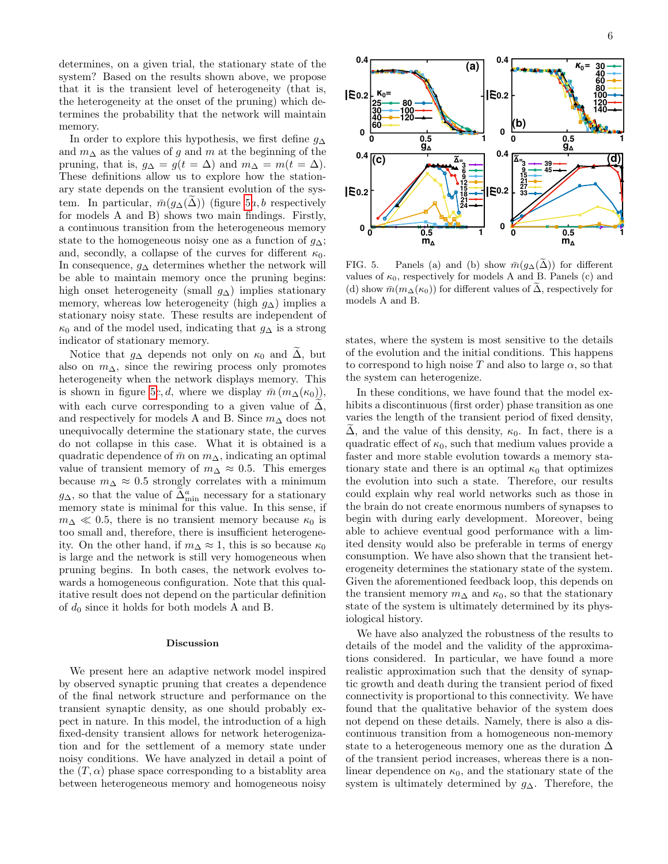determines, on a given trial, the stationary state of the system? Based on the results shown above, we propose that it is the transient level of heterogeneity (that is, the heterogeneity at the onset of the pruning) which determines the probability that the network will maintain memory.

In order to explore this hypothesis, we first define  $q_{\Delta}$ and  $m_{\Delta}$  as the values of g and m at the beginning of the pruning, that is,  $g_{\Delta} = g(t = \Delta)$  and  $m_{\Delta} = m(t = \Delta)$ . These definitions allow us to explore how the stationary state depends on the transient evolution of the system. In particular,  $\bar{m}(g_{\Delta}(\Delta))$  (figure [5](#page-5-0)*a*, *b* respectively for models A and B) shows two main findings. Firstly, a continuous transition from the heterogeneous memory state to the homogeneous noisy one as a function of  $g_{\Delta}$ ; and, secondly, a collapse of the curves for different  $\kappa_0$ . In consequence,  $g_{\Delta}$  determines whether the network will be able to maintain memory once the pruning begins: high onset heterogeneity (small  $q_{\Delta}$ ) implies stationary memory, whereas low heterogeneity (high  $g_{\Delta}$ ) implies a stationary noisy state. These results are independent of  $\kappa_0$  and of the model used, indicating that  $g_\Delta$  is a strong indicator of stationary memory.

Notice that  $g_{\Delta}$  depends not only on  $\kappa_0$  and  $\Delta$ , but also on  $m_{\Delta}$ , since the rewiring process only promotes heterogeneity when the network displays memory. This is shown in figure [5](#page-5-0)c, d, where we display  $\bar{m}$  ( $m_\Lambda(\kappa_0)$ ), with each curve corresponding to a given value of  $\Delta$ , and respectively for models A and B. Since  $m_\Delta$  does not unequivocally determine the stationary state, the curves do not collapse in this case. What it is obtained is a quadratic dependence of  $\bar{m}$  on  $m_{\Delta}$ , indicating an optimal value of transient memory of  $m_{\Delta} \approx 0.5$ . This emerges because  $m_{\Delta} \approx 0.5$  strongly correlates with a minimum  $g_{\Delta}$ , so that the value of  $\tilde{\Delta}_{\text{min}}^a$  necessary for a stationary memory state is minimal for this value. In this sense, if  $m_{\Delta} \ll 0.5$ , there is no transient memory because  $\kappa_0$  is too small and, therefore, there is insufficient heterogeneity. On the other hand, if  $m_{\Delta} \approx 1$ , this is so because  $\kappa_0$ is large and the network is still very homogeneous when pruning begins. In both cases, the network evolves towards a homogeneous configuration. Note that this qualitative result does not depend on the particular definition of  $d_0$  since it holds for both models A and B.

## Discussion

We present here an adaptive network model inspired by observed synaptic pruning that creates a dependence of the final network structure and performance on the transient synaptic density, as one should probably expect in nature. In this model, the introduction of a high fixed-density transient allows for network heterogenization and for the settlement of a memory state under noisy conditions. We have analyzed in detail a point of the  $(T, \alpha)$  phase space corresponding to a bistablity area between heterogeneous memory and homogeneous noisy



<span id="page-5-0"></span>FIG. 5. Panels (a) and (b) show  $\overline{m}(g_{\Delta}(\Delta))$  for different values of  $\kappa_0$ , respectively for models A and B. Panels (c) and (d) show  $\bar{m}(m_{\Delta}(\kappa_0))$  for different values of  $\bar{\Delta}$ , respectively for models A and B.

states, where the system is most sensitive to the details of the evolution and the initial conditions. This happens to correspond to high noise T and also to large  $\alpha$ , so that the system can heterogenize.

In these conditions, we have found that the model exhibits a discontinuous (first order) phase transition as one varies the length of the transient period of fixed density,  $\Delta$ , and the value of this density,  $\kappa_0$ . In fact, there is a quadratic effect of  $\kappa_0$ , such that medium values provide a faster and more stable evolution towards a memory stationary state and there is an optimal  $\kappa_0$  that optimizes the evolution into such a state. Therefore, our results could explain why real world networks such as those in the brain do not create enormous numbers of synapses to begin with during early development. Moreover, being able to achieve eventual good performance with a limited density would also be preferable in terms of energy consumption. We have also shown that the transient heterogeneity determines the stationary state of the system. Given the aforementioned feedback loop, this depends on the transient memory  $m_{\Delta}$  and  $\kappa_0$ , so that the stationary state of the system is ultimately determined by its physiological history.

We have also analyzed the robustness of the results to details of the model and the validity of the approximations considered. In particular, we have found a more realistic approximation such that the density of synaptic growth and death during the transient period of fixed connectivity is proportional to this connectivity. We have found that the qualitative behavior of the system does not depend on these details. Namely, there is also a discontinuous transition from a homogeneous non-memory state to a heterogeneous memory one as the duration  $\Delta$ of the transient period increases, whereas there is a nonlinear dependence on  $\kappa_0$ , and the stationary state of the system is ultimately determined by  $g_{\Delta}$ . Therefore, the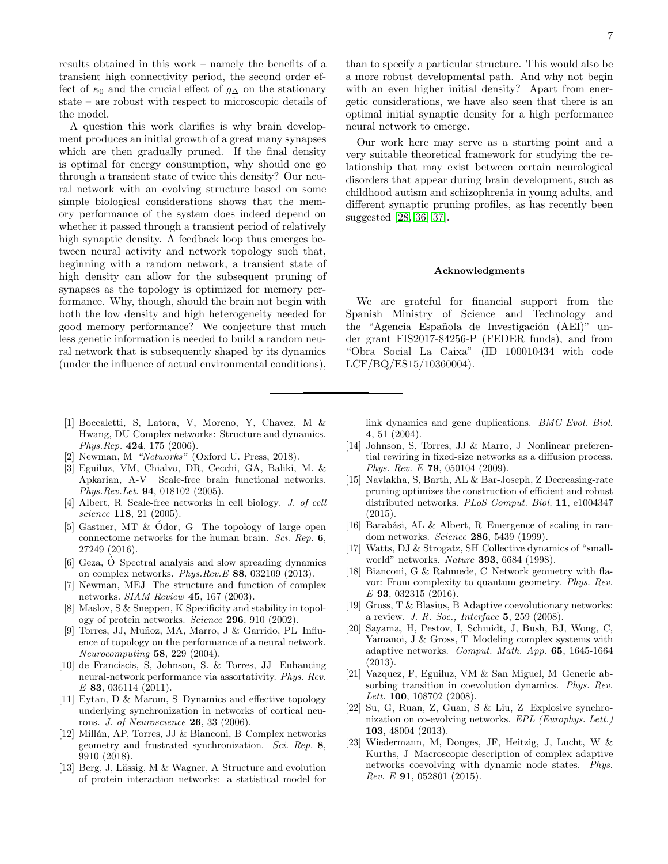results obtained in this work – namely the benefits of a transient high connectivity period, the second order effect of  $\kappa_0$  and the crucial effect of  $g_\Delta$  on the stationary state – are robust with respect to microscopic details of the model.

A question this work clarifies is why brain development produces an initial growth of a great many synapses which are then gradually pruned. If the final density is optimal for energy consumption, why should one go through a transient state of twice this density? Our neural network with an evolving structure based on some simple biological considerations shows that the memory performance of the system does indeed depend on whether it passed through a transient period of relatively high synaptic density. A feedback loop thus emerges between neural activity and network topology such that, beginning with a random network, a transient state of high density can allow for the subsequent pruning of synapses as the topology is optimized for memory performance. Why, though, should the brain not begin with both the low density and high heterogeneity needed for good memory performance? We conjecture that much less genetic information is needed to build a random neural network that is subsequently shaped by its dynamics (under the influence of actual environmental conditions),

- <span id="page-6-0"></span>[1] Boccaletti, S, Latora, V, Moreno, Y, Chavez, M & Hwang, DU Complex networks: Structure and dynamics. Phys.Rep.  $424$ , 175 (2006).
- <span id="page-6-1"></span>[2] Newman, M "Networks" (Oxford U. Press, 2018).
- <span id="page-6-2"></span>[3] Eguiluz, VM, Chialvo, DR, Cecchi, GA, Baliki, M. & Apkarian, A-V Scale-free brain functional networks. Phys.Rev.Let. 94, 018102 (2005).
- <span id="page-6-14"></span>[4] Albert, R Scale-free networks in cell biology. J. of cell science 118, 21 (2005).
- <span id="page-6-3"></span>[5] Gastner, MT & Ódor, G The topology of large open connectome networks for the human brain. Sci. Rep. 6, 27249 (2016).
- <span id="page-6-4"></span>[6] Geza,  $\acute{O}$  Spectral analysis and slow spreading dynamics on complex networks.  $Phys. Rev. E$  88, 032109 (2013).
- <span id="page-6-5"></span>[7] Newman, MEJ The structure and function of complex networks. SIAM Review 45, 167 (2003).
- <span id="page-6-6"></span>[8] Maslov, S & Sneppen, K Specificity and stability in topology of protein networks. Science 296, 910 (2002).
- <span id="page-6-20"></span>[9] Torres, JJ, Muñoz, MA, Marro, J & Garrido, PL Influence of topology on the performance of a neural network. Neurocomputing 58, 229 (2004).
- <span id="page-6-7"></span>[10] de Franciscis, S, Johnson, S. & Torres, JJ Enhancing neural-network performance via assortativity. Phys. Rev. E 83, 036114 (2011).
- <span id="page-6-8"></span>[11] Eytan, D & Marom, S Dynamics and effective topology underlying synchronization in networks of cortical neurons. J. of Neuroscience 26, 33 (2006).
- <span id="page-6-9"></span>[12] Millán, AP, Torres, JJ  $&$  Bianconi, B Complex networks geometry and frustrated synchronization. Sci. Rep. 8, 9910 (2018).
- <span id="page-6-10"></span>[13] Berg, J, Lässig, M & Wagner, A Structure and evolution of protein interaction networks: a statistical model for

than to specify a particular structure. This would also be a more robust developmental path. And why not begin with an even higher initial density? Apart from energetic considerations, we have also seen that there is an optimal initial synaptic density for a high performance neural network to emerge.

Our work here may serve as a starting point and a very suitable theoretical framework for studying the relationship that may exist between certain neurological disorders that appear during brain development, such as childhood autism and schizophrenia in young adults, and different synaptic pruning profiles, as has recently been suggested [\[28,](#page-7-4) [36,](#page-7-11) [37\]](#page-7-12).

### Acknowledgments

We are grateful for financial support from the Spanish Ministry of Science and Technology and the "Agencia Española de Investigación (AEI)" under grant FIS2017-84256-P (FEDER funds), and from "Obra Social La Caixa" (ID 100010434 with code LCF/BQ/ES15/10360004).

link dynamics and gene duplications. BMC Evol. Biol. 4, 51 (2004).

- <span id="page-6-19"></span>[14] Johnson, S, Torres, JJ & Marro, J Nonlinear preferential rewiring in fixed-size networks as a diffusion process. Phys. Rev. E 79, 050104 (2009).
- <span id="page-6-11"></span>[15] Navlakha, S, Barth, AL & Bar-Joseph, Z Decreasing-rate pruning optimizes the construction of efficient and robust distributed networks. PLoS Comput. Biol. 11, e1004347 (2015).
- <span id="page-6-12"></span>[16] Barabási, AL & Albert, R Emergence of scaling in random networks. Science 286, 5439 (1999).
- [17] Watts, DJ & Strogatz, SH Collective dynamics of "smallworld" networks. Nature 393, 6684 (1998).
- <span id="page-6-13"></span>[18] Bianconi, G & Rahmede, C Network geometry with flavor: From complexity to quantum geometry. Phys. Rev. E 93, 032315 (2016).
- <span id="page-6-15"></span>[19] Gross, T & Blasius, B Adaptive coevolutionary networks: a review. J. R. Soc., Interface 5, 259 (2008).
- <span id="page-6-16"></span>[20] Sayama, H, Pestov, I, Schmidt, J, Bush, BJ, Wong, C, Yamanoi, J & Gross, T Modeling complex systems with adaptive networks. Comput. Math. App. 65, 1645-1664 (2013).
- <span id="page-6-17"></span>[21] Vazquez, F, Eguiluz, VM & San Miguel, M Generic absorbing transition in coevolution dynamics. Phys. Rev. Lett. **100**, 108702 (2008).
- [22] Su, G, Ruan, Z, Guan, S & Liu, Z Explosive synchronization on co-evolving networks. EPL (Europhys. Lett.) 103, 48004 (2013).
- <span id="page-6-18"></span>[23] Wiedermann, M, Donges, JF, Heitzig, J, Lucht, W & Kurths, J Macroscopic description of complex adaptive networks coevolving with dynamic node states. Phys.  $Rev. E$  91, 052801 (2015).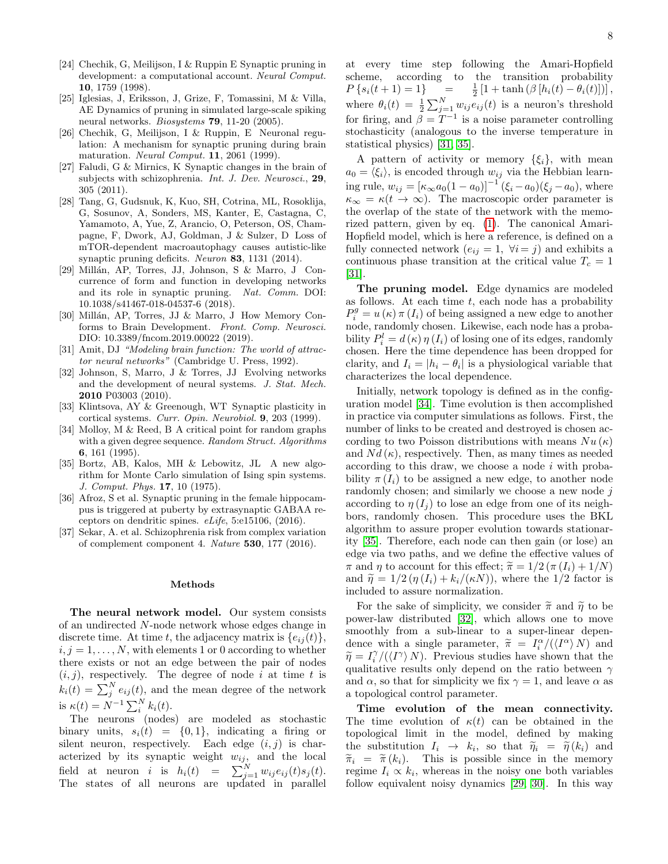- <span id="page-7-0"></span>[24] Chechik, G, Meilijson, I & Ruppin E Synaptic pruning in development: a computational account. Neural Comput. 10, 1759 (1998).
- <span id="page-7-1"></span>[25] Iglesias, J, Eriksson, J, Grize, F, Tomassini, M & Villa, AE Dynamics of pruning in simulated large-scale spiking neural networks. *Biosystems* **79**, 11-20 (2005).
- <span id="page-7-2"></span>[26] Chechik, G, Meilijson, I & Ruppin, E Neuronal regulation: A mechanism for synaptic pruning during brain maturation. Neural Comput. 11, 2061 (1999).
- <span id="page-7-3"></span>[27] Faludi, G & Mirnics, K Synaptic changes in the brain of subjects with schizophrenia. Int. J. Dev. Neurosci., 29, 305 (2011).
- <span id="page-7-4"></span>[28] Tang, G, Gudsnuk, K, Kuo, SH, Cotrina, ML, Rosoklija, G, Sosunov, A, Sonders, MS, Kanter, E, Castagna, C, Yamamoto, A, Yue, Z, Arancio, O, Peterson, OS, Champagne, F, Dwork, AJ, Goldman, J & Sulzer, D Loss of mTOR-dependent macroautophagy causes autistic-like synaptic pruning deficits. Neuron 83, 1131 (2014).
- <span id="page-7-5"></span>[29] Millán, AP, Torres, JJ, Johnson, S & Marro, J Concurrence of form and function in developing networks and its role in synaptic pruning. Nat. Comm. DOI: 10.1038/s41467-018-04537-6 (2018).
- <span id="page-7-6"></span>[30] Millán, AP, Torres, JJ & Marro, J How Memory Conforms to Brain Development. Front. Comp. Neurosci. DIO: 10.3389/fncom.2019.00022 (2019).
- <span id="page-7-7"></span>[31] Amit, DJ "Modeling brain function: The world of attractor neural networks" (Cambridge U. Press, 1992).
- <span id="page-7-8"></span>[32] Johnson, S, Marro, J & Torres, JJ Evolving networks and the development of neural systems. J. Stat. Mech. 2010 P03003 (2010).
- <span id="page-7-9"></span>[33] Klintsova, AY & Greenough, WT Synaptic plasticity in cortical systems. Curr. Opin. Neurobiol. 9, 203 (1999).
- <span id="page-7-14"></span>[34] Molloy, M & Reed, B A critical point for random graphs with a given degree sequence. Random Struct. Algorithms 6, 161 (1995).
- <span id="page-7-13"></span>[35] Bortz, AB, Kalos, MH & Lebowitz, JL A new algorithm for Monte Carlo simulation of Ising spin systems. J. Comput. Phys. 17, 10 (1975).
- <span id="page-7-11"></span>[36] Afroz, S et al. Synaptic pruning in the female hippocampus is triggered at puberty by extrasynaptic GABAA receptors on dendritic spines. eLife, 5:e15106, (2016).
- <span id="page-7-12"></span>[37] Sekar, A. et al. Schizophrenia risk from complex variation of complement component 4. Nature 530, 177 (2016).

#### Methods

<span id="page-7-10"></span>The neural network model. Our system consists of an undirected N-node network whose edges change in discrete time. At time t, the adjacency matrix is  ${e_{ij}(t)}$ ,  $i, j = 1, \ldots, N$ , with elements 1 or 0 according to whether there exists or not an edge between the pair of nodes  $(i, j)$ , respectively. The degree of node i at time t is  $k_i(t) = \sum_j^N e_{ij}(t)$ , and the mean degree of the network is  $\kappa(t) = N^{-1} \sum_{i}^{N} k_i(t)$ .

The neurons (nodes) are modeled as stochastic binary units,  $s_i(t) = \{0, 1\}$ , indicating a firing or silent neuron, respectively. Each edge  $(i, j)$  is characterized by its synaptic weight  $w_{ij}$ , and the local field at neuron *i* is  $h_i(t) = \sum_{j=1}^N w_{ij} e_{ij}(t) s_j(t)$ . The states of all neurons are updated in parallel at every time step following the Amari-Hopfield scheme, according to the transition probability  $P\{s_i(t+1)=1\}$  =  $\frac{1}{2}[1 + \tanh (\beta [h_i(t) - \theta_i(t)])]$ , where  $\theta_i(t) = \frac{1}{2} \sum_{j=1}^{N} w_{ij} e_{ij}(t)$  is a neuron's threshold for firing, and  $\beta = T^{-1}$  is a noise parameter controlling stochasticity (analogous to the inverse temperature in statistical physics) [\[31,](#page-7-7) [35\]](#page-7-13).

A pattern of activity or memory  $\{\xi_i\}$ , with mean  $a_0 = \langle \xi_i \rangle$ , is encoded through  $w_{ij}$  via the Hebbian learning rule,  $w_{ij} = [\kappa_{\infty} a_0 (1 - a_0)]^{-1} (\xi_i - a_0) (\xi_j - a_0)$ , where  $\kappa_{\infty} = \kappa(t \to \infty)$ . The macroscopic order parameter is the overlap of the state of the network with the memorized pattern, given by eq. [\(1\)](#page-1-1). The canonical Amari-Hopfield model, which is here a reference, is defined on a fully connected network  $(e_{ij} = 1, \forall i = j)$  and exhibits a continuous phase transition at the critical value  $T_c = 1$ [\[31\]](#page-7-7).

The pruning model. Edge dynamics are modeled as follows. At each time  $t$ , each node has a probability  $P_i^g = u(\kappa) \pi(I_i)$  of being assigned a new edge to another node, randomly chosen. Likewise, each node has a probability  $P_i^l = d(\kappa) \eta(I_i)$  of losing one of its edges, randomly chosen. Here the time dependence has been dropped for clarity, and  $I_i = |h_i - \theta_i|$  is a physiological variable that characterizes the local dependence.

Initially, network topology is defined as in the configuration model [\[34\]](#page-7-14). Time evolution is then accomplished in practice via computer simulations as follows. First, the number of links to be created and destroyed is chosen according to two Poisson distributions with means  $Nu(\kappa)$ and  $Nd(\kappa)$ , respectively. Then, as many times as needed according to this draw, we choose a node  $i$  with probability  $\pi(I_i)$  to be assigned a new edge, to another node randomly chosen; and similarly we choose a new node  $j$ according to  $\eta(I_i)$  to lose an edge from one of its neighbors, randomly chosen. This procedure uses the BKL algorithm to assure proper evolution towards stationarity [\[35\]](#page-7-13). Therefore, each node can then gain (or lose) an edge via two paths, and we define the effective values of  $\pi$  and  $\eta$  to account for this effect;  $\tilde{\pi} = 1/2 (\pi (I_i) + 1/N)$ and  $\tilde{\eta} = 1/2 (\eta (I_i) + k_i/(\kappa N))$ , where the 1/2 factor is included to assure normalization.

For the sake of simplicity, we consider  $\tilde{\pi}$  and  $\tilde{\eta}$  to be power-law distributed [\[32\]](#page-7-8), which allows one to move smoothly from a sub-linear to a super-linear dependence with a single parameter,  $\tilde{\pi} = I_i^{\alpha}/(\langle I^{\alpha} \rangle N)$  and  $\tilde{\pi} = I_i^{\gamma}/(\langle I^{\gamma} \rangle N)$ . Provious studies have shown that the  $\widetilde{\eta} = I_i^{\gamma}/(\langle I^{\gamma} \rangle N)$ . Previous studies have shown that the qualitative results only depend on the ratio between  $\gamma$ qualitative results only depend on the ratio between  $\gamma$ and  $\alpha$ , so that for simplicity we fix  $\gamma = 1$ , and leave  $\alpha$  as a topological control parameter.

Time evolution of the mean connectivity. The time evolution of  $\kappa(t)$  can be obtained in the topological limit in the model, defined by making the substitution  $I_i \rightarrow k_i$ , so that  $\widetilde{\eta}_i = \widetilde{\eta}(k_i)$  and  $\widetilde{\pi}_i = \widetilde{\pi}(k_i)$ . This is possible since in the memory  $\widetilde{\pi}_i = \widetilde{\pi}(k_i)$ . This is possible since in the memory regime  $I_i \propto k_i$ , whereas in the noisy one both variables follow equivalent noisy dynamics [\[29,](#page-7-5) [30\]](#page-7-6). In this way